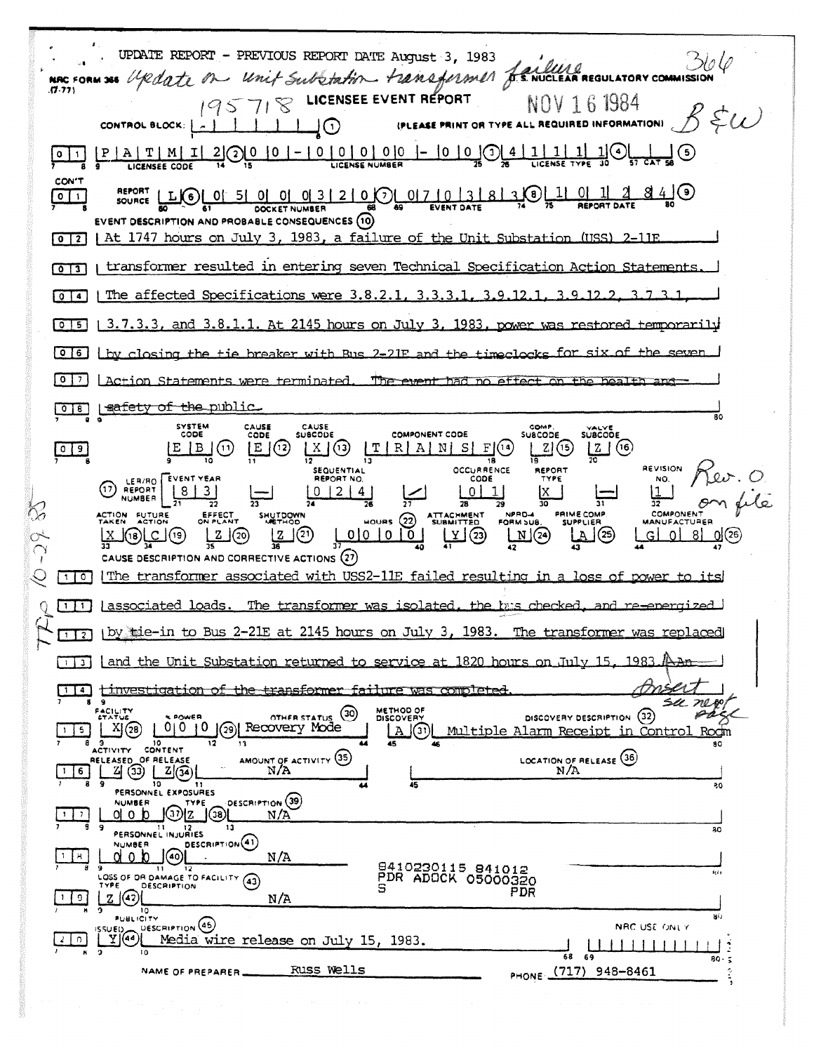UPDATE REPORT - PREVIOUS REPORT DATE August 3, 1983 5ło O NAC FORM 365 Update on unit Substation transformer fructure requirement 195718 LICENSEE EVENT REPORT NOV 161984  $R \xi \omega$ (PLEASE PRINT OR TYPE ALL REQUIRED INFORMATION) CONTROL BLOCK:  $-111100$  $\frac{1}{2}$   $\odot$ 10  $\vert 1 \vert$  $1<sub>1</sub>$  $0 \mid 1 \mid$ CON'T REPORT LLO 0 0 5 0 0 0 3 2 0 0 0 7 0 3 2 8 3 0 1 1 0 -11 <u>2</u> 84 O  $O$  1 EVENT DESCRIPTION AND PROBABLE CONSEQUENCES (10)  $0$  | 2 | At 1747 hours on July 3, 1983, a failure of the Unit Substation (USS)  $2 - 11F$ [0][3] | transformer resulted in entering seven Technical Specification Action Statements The affected Specifications were 3.8.2.1 ٩  $\sqrt{0}$  $0\overline{\smash{5}}$  $1, 3, 7, 3, 3$ , and  $3, 8, 1, 1$ . At 2145 hours on July 3. 1983 power 0 6 by closing the tie breaker with Rus  $2 - 21F$  $and +<sub>ha</sub>$  $\boxed{0}$ LAction Statements were terminated. The event  $a$ ffant safety of the public  $OTB$ SYSTEM<br>CODE CAUSE CAUSE COMP SUBCODE CODE **SUBCODE** COMPONENT CODE SUBCODE  $\frac{X}{2}$  (13)  $\frac{1}{13}$  R A N S F (13)  $Z(6)$  $\boxed{0}$   $\boxed{9}$  $E(3)$  $|Z|$ (15)  $E[B](i)$ REVISION SEQUENTIAL<br>REPORT NO. REPORT OCCURRENCE CODE (1) LER/RO<br>NUMBER **EVENT YEAR** TYPE NO.  $|8|3|$  $0 |2 |4|$  $0$ | 1  $\vert$ 1 IX.  $\overline{78}$  $\overline{31}$ 37 PRIME COMP. **COMPONEN** NPRO-4 ATTACHMENT<br>SUBMITTED ACTION FUTURE EFFECT<br>ON PLANT SHUTDOWN  $H$ OURS  $(22)$ FORM SUB **SUPPLIER MANUFACTURER**  $\frac{1}{41}$   $\overline{23}$  $\frac{2}{36}$  (2)  $2(2)$  $00000$  $\Box$  $(2)$ LA  $\rfloor$  (25)  $G$  0 8  $\mathsf{I}^{(\mathsf{1}\mathsf{8})\mathsf{L}\mathsf{C}}$ (19) CAUSE DESCRIPTION AND CORRECTIVE ACTIONS (27) TIO IThe transformer associated with USS2-11E failed resulting in a loss of power to  $\pm + \infty$ The transformer was isolated, the bus checked [1] | associated loads. Q by tie-in to Bus 2-21E at 2145 hours on July 3, 1983. The transformer replaced  $1$   $2$ [1] [and the Unit Substation returned to service at 1820 hours on July 15  $n_{\text{AB}}$ 1983 [1]4] tinvestigation of the transformer failure was completed ē su ne ÆС FACILITY<br>STATUS  $\circled{30}$ METHOD OF PÅ DISCOVERY DESCRIPTION (32) **OTHER STATUS** 0 0 10 3 Recovery Mode  $X(28)$  $15$  $\Box$ Multiple Alarm Receipt in Rodm Control **9** 10<br>ACTIVITY CONTENT  $\overline{12}$  $\overline{13}$  $\overline{\mathbf{so}}$  $\frac{\text{AMOUNT OF ACTIVITY (35)}{N/A}}{N/A}$ LOCATION OF RELEASE (36) RELEASED OF RELEASE  $|1|6|$  $\overline{10}$ 80  $11$ PERSONNEL EXPOSURES DESCRIPTION (39) **NUMBER** TYPE NUMBER JOVE 00  $\vert \cdot \vert \cdot \rangle$  $N/A$ PERSONNEL INJURIES  $\overline{30}$ DESCRIPTION<sup>(41)</sup> **NUMBER QOPPOS**  $-1$   $|8$  $N/A$ 8410230115 841012<br>PDR ADOCK 05000320 71  $\overline{12}$ tçê p LOSS OF OR DAMAGE TO FACILITY (43)  $\mathbb{Z}^{(4)}$ PDR  $1$  0  $N/A$  $\frac{1}{10}$ a) SUBLICITY<br>View Description (46)<br>Yi(44) Media wire release on July 15, 1983. NRC USE ONLY  $\lfloor 2 \rfloor$  0  $1111111$ Ŕ 68  $59$  $80 \tilde{\mathbf{z}}$ PHONE (717) 948-8461 Russ Wells NAME OF PREPARER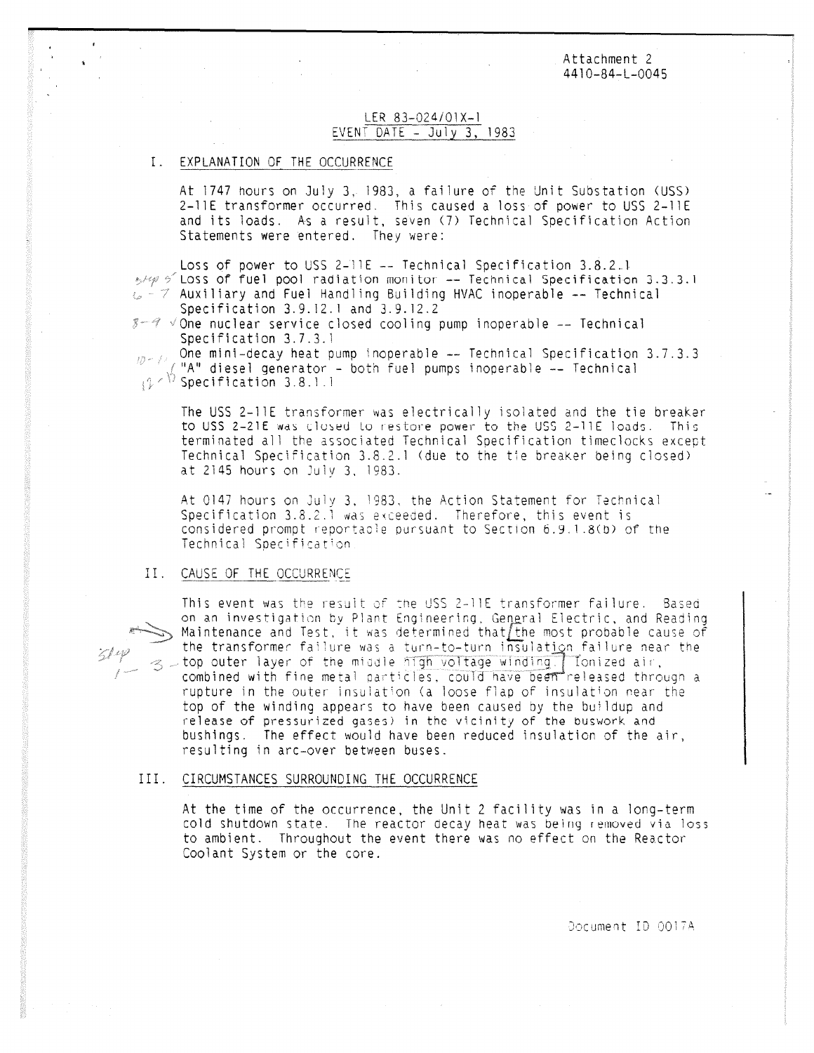Attachment 2 4410-84-L-0045

## LER 83-024/01X-1 EVENT DATE - July 3, 1983

#### I. EXPLANATION OF THE OCCURRENCE

At 1747 hours on July 3, 1983, a failure of the Unit Substation (USS) 2-11E transformer occurred. This caused a loss of power to USS 2-11E and its loads. As a result, seven (7) Technical Specification Action Statements were entered. They were:

Loss of power to USS 2-11E -- Technical Specification 3.8.2.1  $\frac{1}{2}$  /  $\frac{1}{2}$  Loss of fuel pool radiation monitor -- Technical Specification 3.3.3.1  $\omega$  -  $\tau$  Auxiliary and Fuel Handling Building HVAC inoperable -- Technical Specification 3.9.12.1 and 3.9.12.2

 $8 - 8$   $\sqrt{2}$  one nuclear service closed cooling pump inoperable -- Technical Specification 3.7.3.1

One mini-decay heat pump inoperable -- Technical Specification 3.7.3.3  $10 - 11$ "A" diesel generator - both fuel pumps inoperable -- Technical  $(2 \times 1)$  Specification 3.8.1.1

The USS 2-11E transformer was electrically isolated and the tie breaker to USS <sup>2</sup> -21E was closed Lo restore power to the USS 2 - 11E loads. This terminated all the associated Technical Specification timeclocks except Technical Specification 3.8.2.1 (due to the tie breaker being closed) at 2145 hours on July 3, 1983.

At 0147 hours on July 3, 1983, the Action Statement for Technical Specification  $3.8.2.1$  was exceeded. Therefore, this event is considered prompt reportable pursuant to Section 6.9.1.8(0) of the Technical Specification

## II. CAUSE OF THE OCCURRENCE

 $514$ 



### III. CIRCUMSTANCES SURROUNDING THE OCCURRENCE

At the time of the occurrence, the Unit 2 facility was in a long-term cold shutdown state. The reactor decay heat was being removed via loss to ambient. Throughout the event there was no effect on the Reactor Coolant System or the core.

Document ID 0017A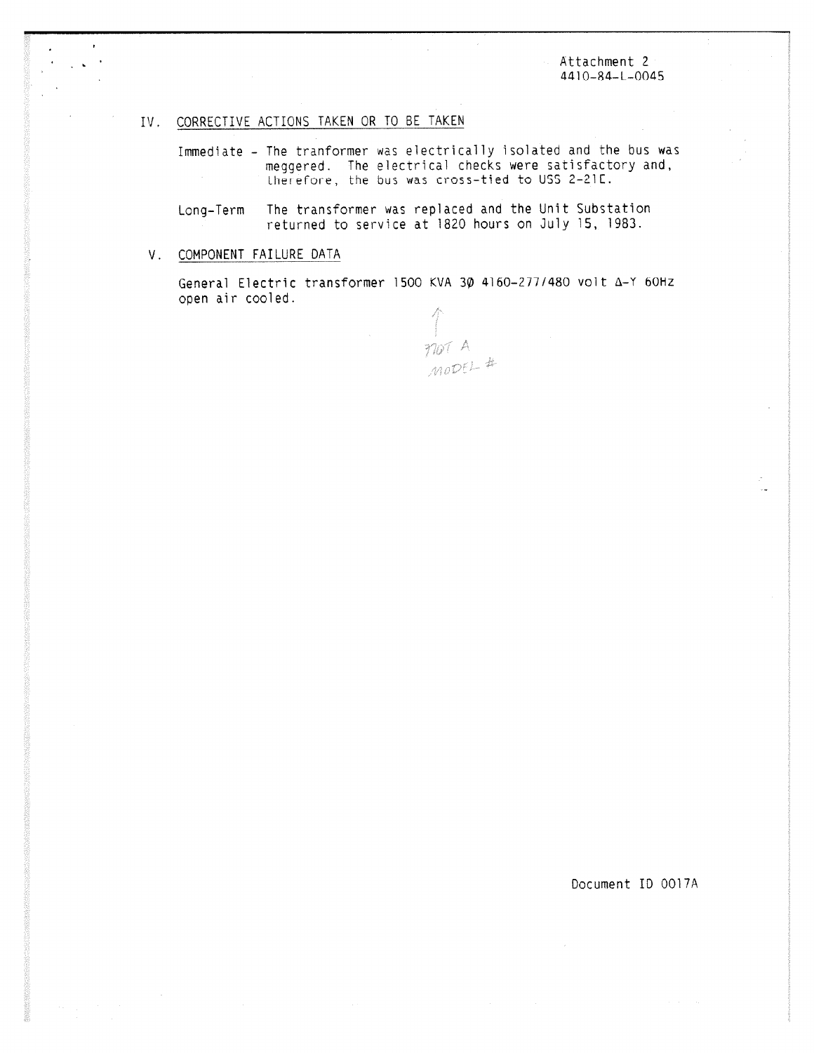Attachment 2 4410-84-L-0045

# IV. CORRECTIVE ACTIONS TAKEN OR TO BE TAKEN

Immediate - The tranformer was electrically isolated and the bus was meggered. The electrical checks were satisfactory and, therefore, the bus was cross-tied to USS 2-21C.

Long-Term The transformer was replaced and the Unit Substation returned to service at 1820 hours on July 15, 1983.

# V. COMPONENT FAILURE DATA

General Electric transformer 1500 KVA 3 $\phi$  4160-277/480 volt  $\Delta$ -Y 60Hz open air cooled.

MOT A

Document ID 0017A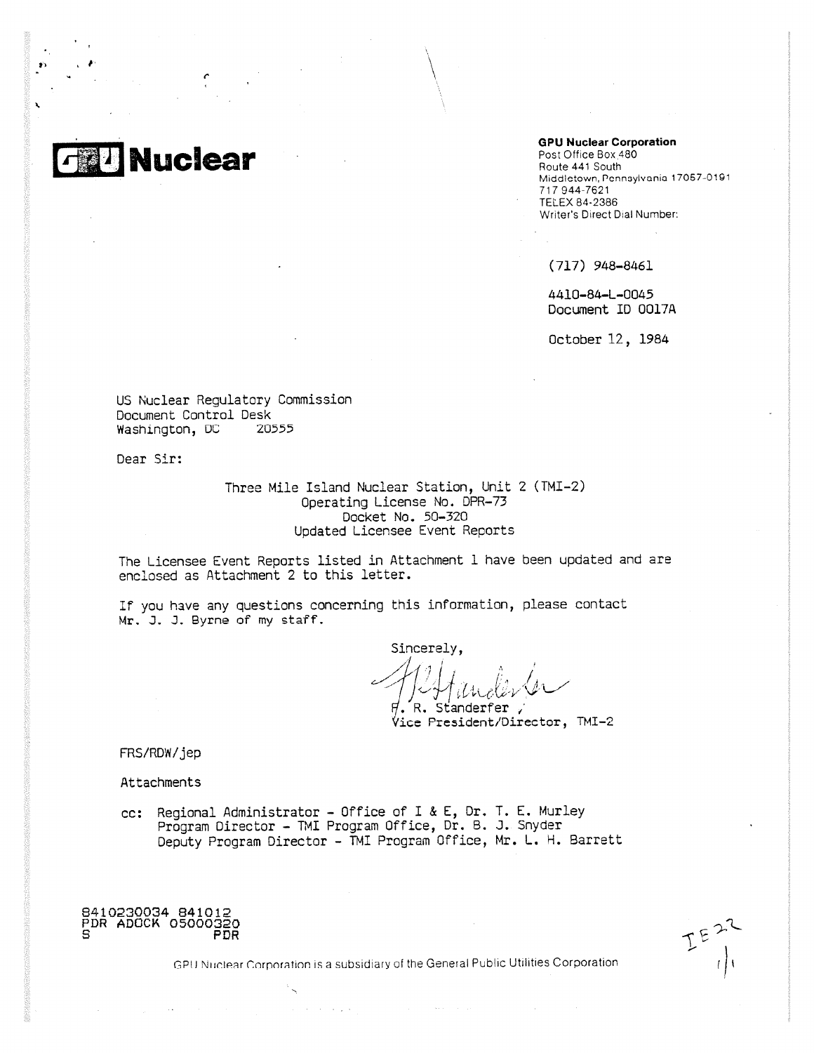**G U Nuclear**

t-

#### **GPU Nuclear Corporation**

Post Office Box 480 Route 441 South Middletown, Pennsylvania 17067-0191 717 944-7621 TELEX 84-2386 Writer's Direct Dial Number:

(717) 948-8461

4410-84-L-0045 Document ID 0017A

October 12, 1984

US Nuclear Regulatory Commission Document Control Desk Washington, DC 20555

Dear Sir:

Three Mile Island Nuclear Station, Unit 2 (TMI-2) Operating License No. DPR-73 Docket No, 50-320 Updated Licensee Event Reports

The Licensee Event Reports listed in Attachment I have been updated and are enclosed as Attachment 2 to this letter.

If you have any questions concerning this information, please contact Mr. J. J. Byrne of my staff.

Sincerely,

. R. Standerfer Vice President/Director, TMI-2

FRS/RDW/jep

Attachments

cc: Regional Administrator - Office of I & E, Dr, T. E. Murley Program Director - TMI Program Office, Dr. B. J. Snyder Deputy Program Director - TMI Program Office, Mr. L. H. Barrett



GPU Nuclear Corporation is a subsidiary of the General Public Utilities Corporation